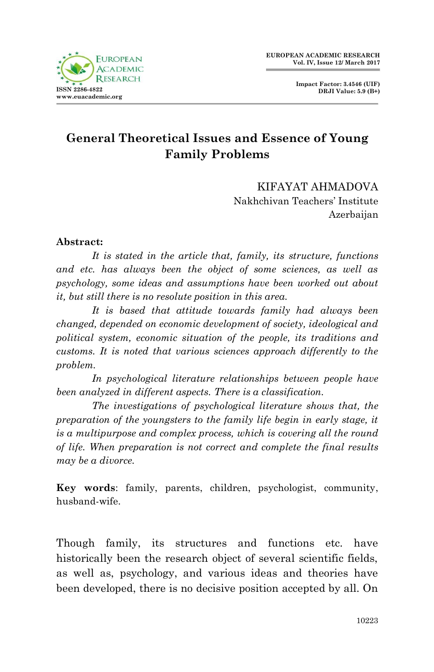

**Impact Factor: 3.4546 (UIF) DRJI Value: 5.9 (B+)**

## **General Theoretical Issues and Essence of Young Family Problems**

KIFAYAT AHMADOVA Nakhchivan Teachers' Institute Azerbaijan

## **Abstract:**

*It is stated in the article that, family, its structure, functions and etc. has always been the object of some sciences, as well as psychology, some ideas and assumptions have been worked out about it, but still there is no resolute position in this area.*

*It is based that attitude towards family had always been changed, depended on economic development of society, ideological and political system, economic situation of the people, its traditions and customs. It is noted that various sciences approach differently to the problem.*

*In psychological literature relationships between people have been analyzed in different aspects. There is a classification.*

*The investigations of psychological literature shows that, the preparation of the youngsters to the family life begin in early stage, it is a multipurpose and complex process, which is covering all the round of life. When preparation is not correct and complete the final results may be a divorce.*

**Key words**: family, parents, children, psychologist, community, husband-wife.

Though family, its structures and functions etc. have historically been the research object of several scientific fields, as well as, psychology, and various ideas and theories have been developed, there is no decisive position accepted by all. On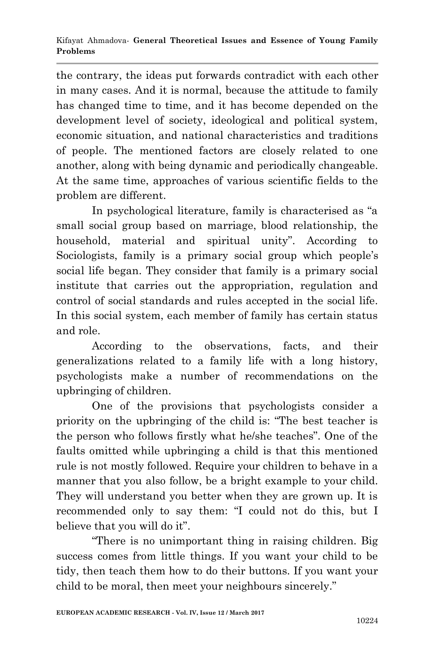the contrary, the ideas put forwards contradict with each other in many cases. And it is normal, because the attitude to family has changed time to time, and it has become depended on the development level of society, ideological and political system, economic situation, and national characteristics and traditions of people. The mentioned factors are closely related to one another, along with being dynamic and periodically changeable. At the same time, approaches of various scientific fields to the problem are different.

In psychological literature, family is characterised as "a small social group based on marriage, blood relationship, the household, material and spiritual unity". According to Sociologists, family is a primary social group which people's social life began. They consider that family is a primary social institute that carries out the appropriation, regulation and control of social standards and rules accepted in the social life. In this social system, each member of family has certain status and role.

According to the observations, facts, and their generalizations related to a family life with a long history, psychologists make a number of recommendations on the upbringing of children.

One of the provisions that psychologists consider a priority on the upbringing of the child is: "The best teacher is the person who follows firstly what he/she teaches". One of the faults omitted while upbringing a child is that this mentioned rule is not mostly followed. Require your children to behave in a manner that you also follow, be a bright example to your child. They will understand you better when they are grown up. It is recommended only to say them: "I could not do this, but I believe that you will do it".

"There is no unimportant thing in raising children. Big success comes from little things. If you want your child to be tidy, then teach them how to do their buttons. If you want your child to be moral, then meet your neighbours sincerely."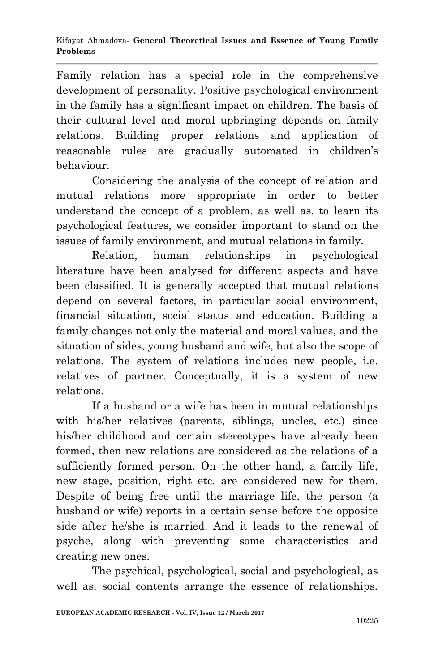Family relation has a special role in the comprehensive development of personality. Positive psychological environment in the family has a significant impact on children. The basis of their cultural level and moral upbringing depends on family relations. Building proper relations and application of reasonable rules are gradually automated in children's behaviour.

Considering the analysis of the concept of relation and mutual relations more appropriate in order to better understand the concept of a problem, as well as, to learn its psychological features, we consider important to stand on the issues of family environment, and mutual relations in family.

Relation, human relationships in psychological literature have been analysed for different aspects and have been classified. It is generally accepted that mutual relations depend on several factors, in particular social environment, financial situation, social status and education. Building a family changes not only the material and moral values, and the situation of sides, young husband and wife, but also the scope of relations. The system of relations includes new people, i.e. relatives of partner. Conceptually, it is a system of new relations.

If a husband or a wife has been in mutual relationships with his/her relatives (parents, siblings, uncles, etc.) since his/her childhood and certain stereotypes have already been formed, then new relations are considered as the relations of a sufficiently formed person. On the other hand, a family life, new stage, position, right etc. are considered new for them. Despite of being free until the marriage life, the person (a husband or wife) reports in a certain sense before the opposite side after he/she is married. And it leads to the renewal of psyche, along with preventing some characteristics and creating new ones.

The psychical, psychological, social and psychological, as well as, social contents arrange the essence of relationships.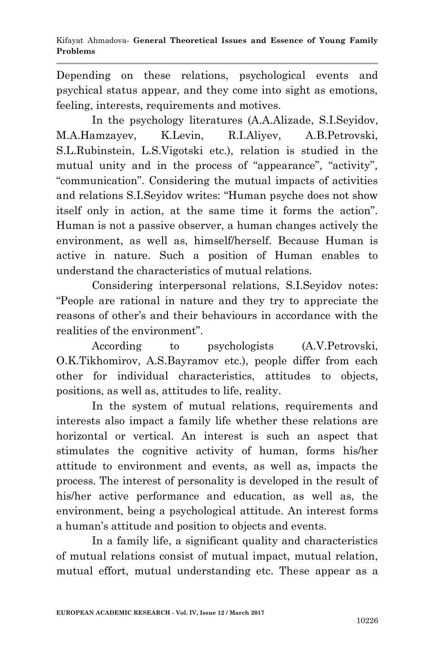Depending on these relations, psychological events and psychical status appear, and they come into sight as emotions, feeling, interests, requirements and motives.

In the psychology literatures (A.A.Alizade, S.I.Seyidov, M.A.Hamzayev, K.Levin, R.I.Aliyev, A.B.Petrovski, S.L.Rubinstein, L.S.Vigotski etc.), relation is studied in the mutual unity and in the process of "appearance", "activity", "communication". Considering the mutual impacts of activities and relations S.I.Seyidov writes: "Human psyche does not show itself only in action, at the same time it forms the action". Human is not a passive observer, a human changes actively the environment, as well as, himself/herself. Because Human is active in nature. Such a position of Human enables to understand the characteristics of mutual relations.

Considering interpersonal relations, S.I.Seyidov notes: "People are rational in nature and they try to appreciate the reasons of other's and their behaviours in accordance with the realities of the environment".

According to psychologists (A.V.Petrovski, O.K.Tikhomirov, A.S.Bayramov etc.), people differ from each other for individual characteristics, attitudes to objects, positions, as well as, attitudes to life, reality.

In the system of mutual relations, requirements and interests also impact a family life whether these relations are horizontal or vertical. An interest is such an aspect that stimulates the cognitive activity of human, forms his/her attitude to environment and events, as well as, impacts the process. The interest of personality is developed in the result of his/her active performance and education, as well as, the environment, being a psychological attitude. An interest forms a human's attitude and position to objects and events.

In a family life, a significant quality and characteristics of mutual relations consist of mutual impact, mutual relation, mutual effort, mutual understanding etc. These appear as a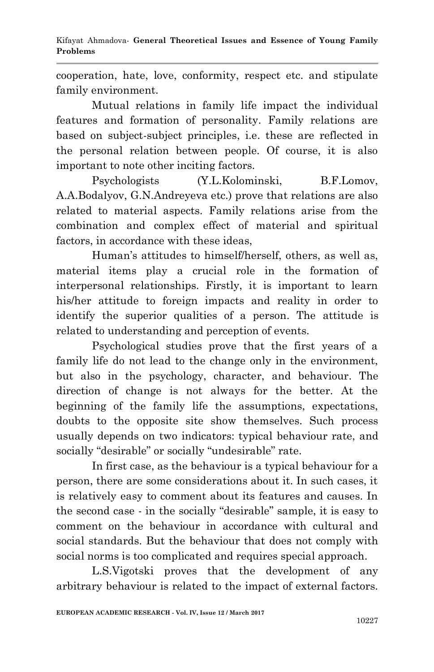cooperation, hate, love, conformity, respect etc. and stipulate family environment.

Mutual relations in family life impact the individual features and formation of personality. Family relations are based on subject-subject principles, i.e. these are reflected in the personal relation between people. Of course, it is also important to note other inciting factors.

Psychologists (Y.L.Kolominski, B.F.Lomov, A.A.Bodalyov, G.N.Andreyeva etc.) prove that relations are also related to material aspects. Family relations arise from the combination and complex effect of material and spiritual factors, in accordance with these ideas,

Human's attitudes to himself/herself, others, as well as, material items play a crucial role in the formation of interpersonal relationships. Firstly, it is important to learn his/her attitude to foreign impacts and reality in order to identify the superior qualities of a person. The attitude is related to understanding and perception of events.

Psychological studies prove that the first years of a family life do not lead to the change only in the environment, but also in the psychology, character, and behaviour. The direction of change is not always for the better. At the beginning of the family life the assumptions, expectations, doubts to the opposite site show themselves. Such process usually depends on two indicators: typical behaviour rate, and socially "desirable" or socially "undesirable" rate.

In first case, as the behaviour is a typical behaviour for a person, there are some considerations about it. In such cases, it is relatively easy to comment about its features and causes. In the second case - in the socially "desirable" sample, it is easy to comment on the behaviour in accordance with cultural and social standards. But the behaviour that does not comply with social norms is too complicated and requires special approach.

L.S.Vigotski proves that the development of any arbitrary behaviour is related to the impact of external factors.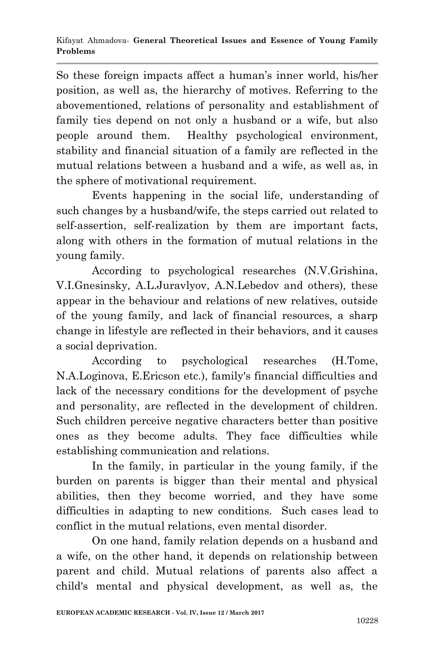So these foreign impacts affect a human's inner world, his/her position, as well as, the hierarchy of motives. Referring to the abovementioned, relations of personality and establishment of family ties depend on not only a husband or a wife, but also people around them. Healthy psychological environment, stability and financial situation of a family are reflected in the mutual relations between a husband and a wife, as well as, in the sphere of motivational requirement.

Events happening in the social life, understanding of such changes by a husband/wife, the steps carried out related to self-assertion, self-realization by them are important facts, along with others in the formation of mutual relations in the young family.

According to psychological researches (N.V.Grishina, V.I.Gnesinsky, A.L.Juravlyov, A.N.Lebedov and others), these appear in the behaviour and relations of new relatives, outside of the young family, and lack of financial resources, a sharp change in lifestyle are reflected in their behaviors, and it causes a social deprivation.

According to psychological researches (H.Tome, N.A.Loginova, E.Ericson etc.), family's financial difficulties and lack of the necessary conditions for the development of psyche and personality, are reflected in the development of children. Such children perceive negative characters better than positive ones as they become adults. They face difficulties while establishing communication and relations.

In the family, in particular in the young family, if the burden on parents is bigger than their mental and physical abilities, then they become worried, and they have some difficulties in adapting to new conditions. Such cases lead to conflict in the mutual relations, even mental disorder.

On one hand, family relation depends on a husband and a wife, on the other hand, it depends on relationship between parent and child. Mutual relations of parents also affect a child's mental and physical development, as well as, the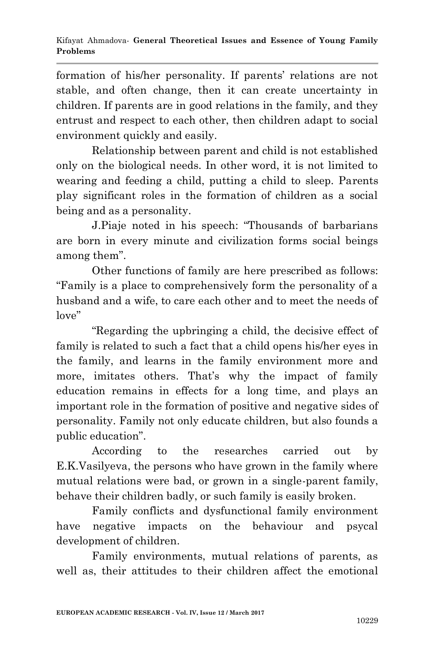formation of his/her personality. If parents' relations are not stable, and often change, then it can create uncertainty in children. If parents are in good relations in the family, and they entrust and respect to each other, then children adapt to social environment quickly and easily.

Relationship between parent and child is not established only on the biological needs. In other word, it is not limited to wearing and feeding a child, putting a child to sleep. Parents play significant roles in the formation of children as a social being and as a personality.

J.Piaje noted in his speech: "Thousands of barbarians are born in every minute and civilization forms social beings among them".

Other functions of family are here prescribed as follows: "Family is a place to comprehensively form the personality of a husband and a wife, to care each other and to meet the needs of love"

"Regarding the upbringing a child, the decisive effect of family is related to such a fact that a child opens his/her eyes in the family, and learns in the family environment more and more, imitates others. That's why the impact of family education remains in effects for a long time, and plays an important role in the formation of positive and negative sides of personality. Family not only educate children, but also founds a public education".

According to the researches carried out by E.K.Vasilyeva, the persons who have grown in the family where mutual relations were bad, or grown in a single-parent family, behave their children badly, or such family is easily broken.

Family conflicts and dysfunctional family environment have negative impacts on the behaviour and psycal development of children.

Family environments, mutual relations of parents, as well as, their attitudes to their children affect the emotional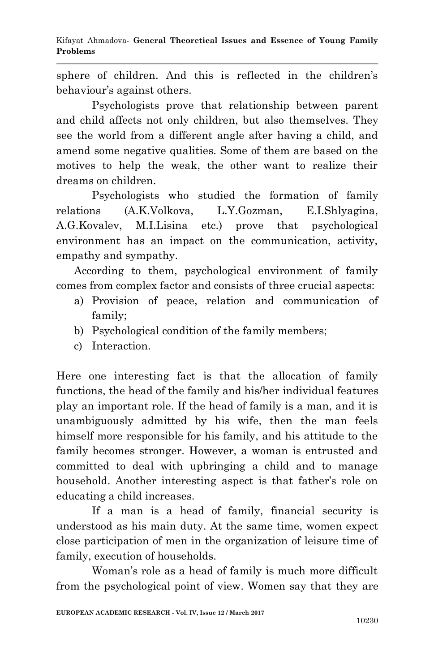sphere of children. And this is reflected in the children's behaviour's against others.

Psychologists prove that relationship between parent and child affects not only children, but also themselves. They see the world from a different angle after having a child, and amend some negative qualities. Some of them are based on the motives to help the weak, the other want to realize their dreams on children.

Psychologists who studied the formation of family relations (A.K.Volkova, L.Y.Gozman, E.I.Shlyagina, A.G.Kovalev, M.I.Lisina etc.) prove that psychological environment has an impact on the communication, activity, empathy and sympathy.

According to them, psychological environment of family comes from complex factor and consists of three crucial aspects:

- a) Provision of peace, relation and communication of family;
- b) Psychological condition of the family members;
- c) Interaction.

Here one interesting fact is that the allocation of family functions, the head of the family and his/her individual features play an important role. If the head of family is a man, and it is unambiguously admitted by his wife, then the man feels himself more responsible for his family, and his attitude to the family becomes stronger. However, a woman is entrusted and committed to deal with upbringing a child and to manage household. Another interesting aspect is that father's role on educating a child increases.

If a man is a head of family, financial security is understood as his main duty. At the same time, women expect close participation of men in the organization of leisure time of family, execution of households.

Woman's role as a head of family is much more difficult from the psychological point of view. Women say that they are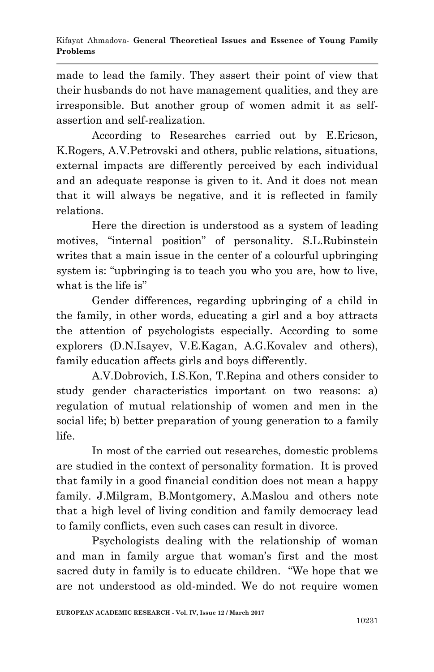made to lead the family. They assert their point of view that their husbands do not have management qualities, and they are irresponsible. But another group of women admit it as selfassertion and self-realization.

According to Researches carried out by E.Ericson, K.Rogers, A.V.Petrovski and others, public relations, situations, external impacts are differently perceived by each individual and an adequate response is given to it. And it does not mean that it will always be negative, and it is reflected in family relations.

Here the direction is understood as a system of leading motives, "internal position" of personality. S.L.Rubinstein writes that a main issue in the center of a colourful upbringing system is: "upbringing is to teach you who you are, how to live, what is the life is"

Gender differences, regarding upbringing of a child in the family, in other words, educating a girl and a boy attracts the attention of psychologists especially. According to some explorers (D.N.Isayev, V.E.Kagan, A.G.Kovalev and others), family education affects girls and boys differently.

A.V.Dobrovich, I.S.Kon, T.Repina and others consider to study gender characteristics important on two reasons: a) regulation of mutual relationship of women and men in the social life; b) better preparation of young generation to a family life.

In most of the carried out researches, domestic problems are studied in the context of personality formation. It is proved that family in a good financial condition does not mean a happy family. J.Milgram, B.Montgomery, A.Maslou and others note that a high level of living condition and family democracy lead to family conflicts, even such cases can result in divorce.

Psychologists dealing with the relationship of woman and man in family argue that woman's first and the most sacred duty in family is to educate children. "We hope that we are not understood as old-minded. We do not require women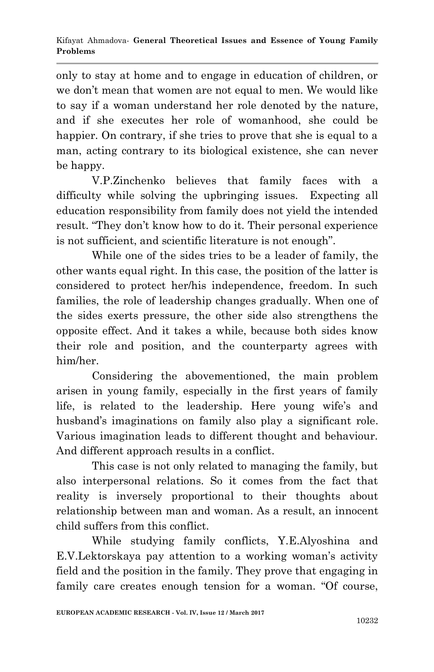only to stay at home and to engage in education of children, or we don't mean that women are not equal to men. We would like to say if a woman understand her role denoted by the nature, and if she executes her role of womanhood, she could be happier. On contrary, if she tries to prove that she is equal to a man, acting contrary to its biological existence, she can never be happy.

V.P.Zinchenko believes that family faces with a difficulty while solving the upbringing issues. Expecting all education responsibility from family does not yield the intended result. "They don't know how to do it. Their personal experience is not sufficient, and scientific literature is not enough".

While one of the sides tries to be a leader of family, the other wants equal right. In this case, the position of the latter is considered to protect her/his independence, freedom. In such families, the role of leadership changes gradually. When one of the sides exerts pressure, the other side also strengthens the opposite effect. And it takes a while, because both sides know their role and position, and the counterparty agrees with him/her.

Considering the abovementioned, the main problem arisen in young family, especially in the first years of family life, is related to the leadership. Here young wife's and husband's imaginations on family also play a significant role. Various imagination leads to different thought and behaviour. And different approach results in a conflict.

This case is not only related to managing the family, but also interpersonal relations. So it comes from the fact that reality is inversely proportional to their thoughts about relationship between man and woman. As a result, an innocent child suffers from this conflict.

While studying family conflicts, Y.E.Alyoshina and E.V.Lektorskaya pay attention to a working woman's activity field and the position in the family. They prove that engaging in family care creates enough tension for a woman. "Of course,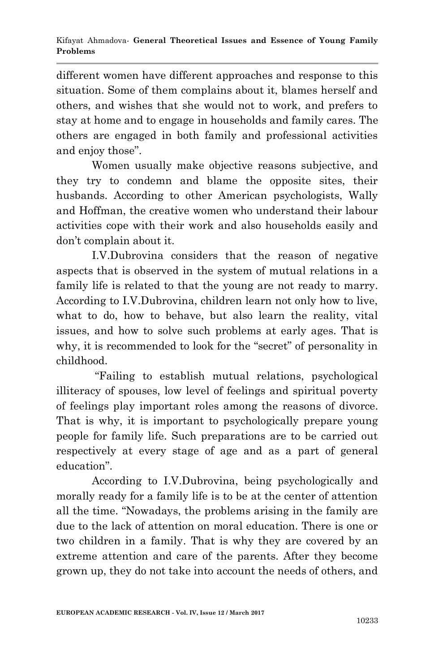different women have different approaches and response to this situation. Some of them complains about it, blames herself and others, and wishes that she would not to work, and prefers to stay at home and to engage in households and family cares. The others are engaged in both family and professional activities and enjoy those".

Women usually make objective reasons subjective, and they try to condemn and blame the opposite sites, their husbands. According to other American psychologists, Wally and Hoffman, the creative women who understand their labour activities cope with their work and also households easily and don't complain about it.

I.V.Dubrovina considers that the reason of negative aspects that is observed in the system of mutual relations in a family life is related to that the young are not ready to marry. According to I.V.Dubrovina, children learn not only how to live, what to do, how to behave, but also learn the reality, vital issues, and how to solve such problems at early ages. That is why, it is recommended to look for the "secret" of personality in childhood.

"Failing to establish mutual relations, psychological illiteracy of spouses, low level of feelings and spiritual poverty of feelings play important roles among the reasons of divorce. That is why, it is important to psychologically prepare young people for family life. Such preparations are to be carried out respectively at every stage of age and as a part of general education".

According to I.V.Dubrovina, being psychologically and morally ready for a family life is to be at the center of attention all the time. "Nowadays, the problems arising in the family are due to the lack of attention on moral education. There is one or two children in a family. That is why they are covered by an extreme attention and care of the parents. After they become grown up, they do not take into account the needs of others, and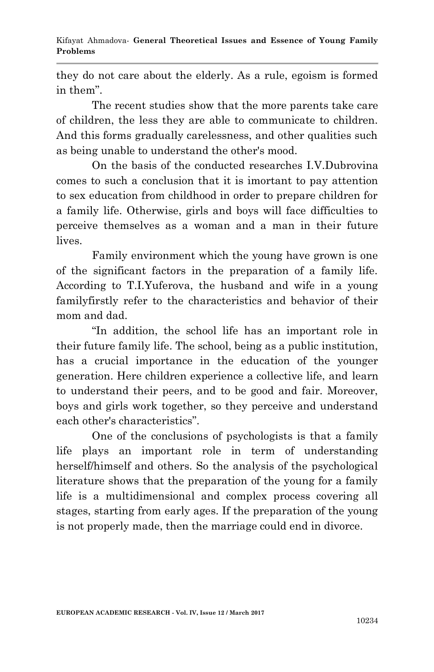they do not care about the elderly. As a rule, egoism is formed in them".

The recent studies show that the more parents take care of children, the less they are able to communicate to children. And this forms gradually carelessness, and other qualities such as being unable to understand the other's mood.

On the basis of the conducted researches I.V.Dubrovina comes to such a conclusion that it is imortant to pay attention to sex education from childhood in order to prepare children for a family life. Otherwise, girls and boys will face difficulties to perceive themselves as a woman and a man in their future lives.

Family environment which the young have grown is one of the significant factors in the preparation of a family life. According to T.I.Yuferova, the husband and wife in a young familyfirstly refer to the characteristics and behavior of their mom and dad.

"In addition, the school life has an important role in their future family life. The school, being as a public institution, has a crucial importance in the education of the younger generation. Here children experience a collective life, and learn to understand their peers, and to be good and fair. Moreover, boys and girls work together, so they perceive and understand each other's characteristics".

One of the conclusions of psychologists is that a family life plays an important role in term of understanding herself/himself and others. So the analysis of the psychological literature shows that the preparation of the young for a family life is a multidimensional and complex process covering all stages, starting from early ages. If the preparation of the young is not properly made, then the marriage could end in divorce.